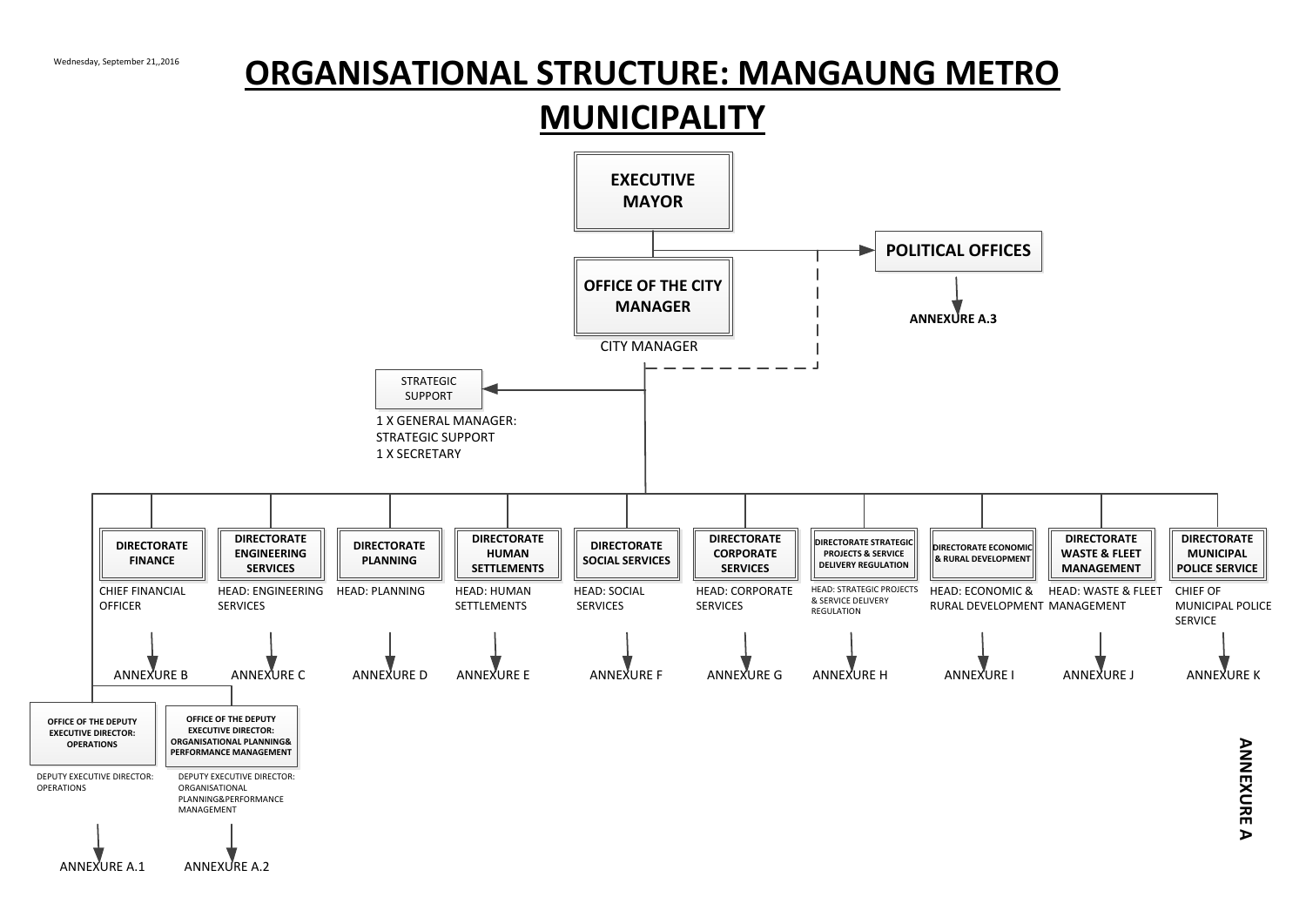# **ORGANISATIONAL STRUCTURE: MANGAUNG METRO**<br>MUNICIPALITY

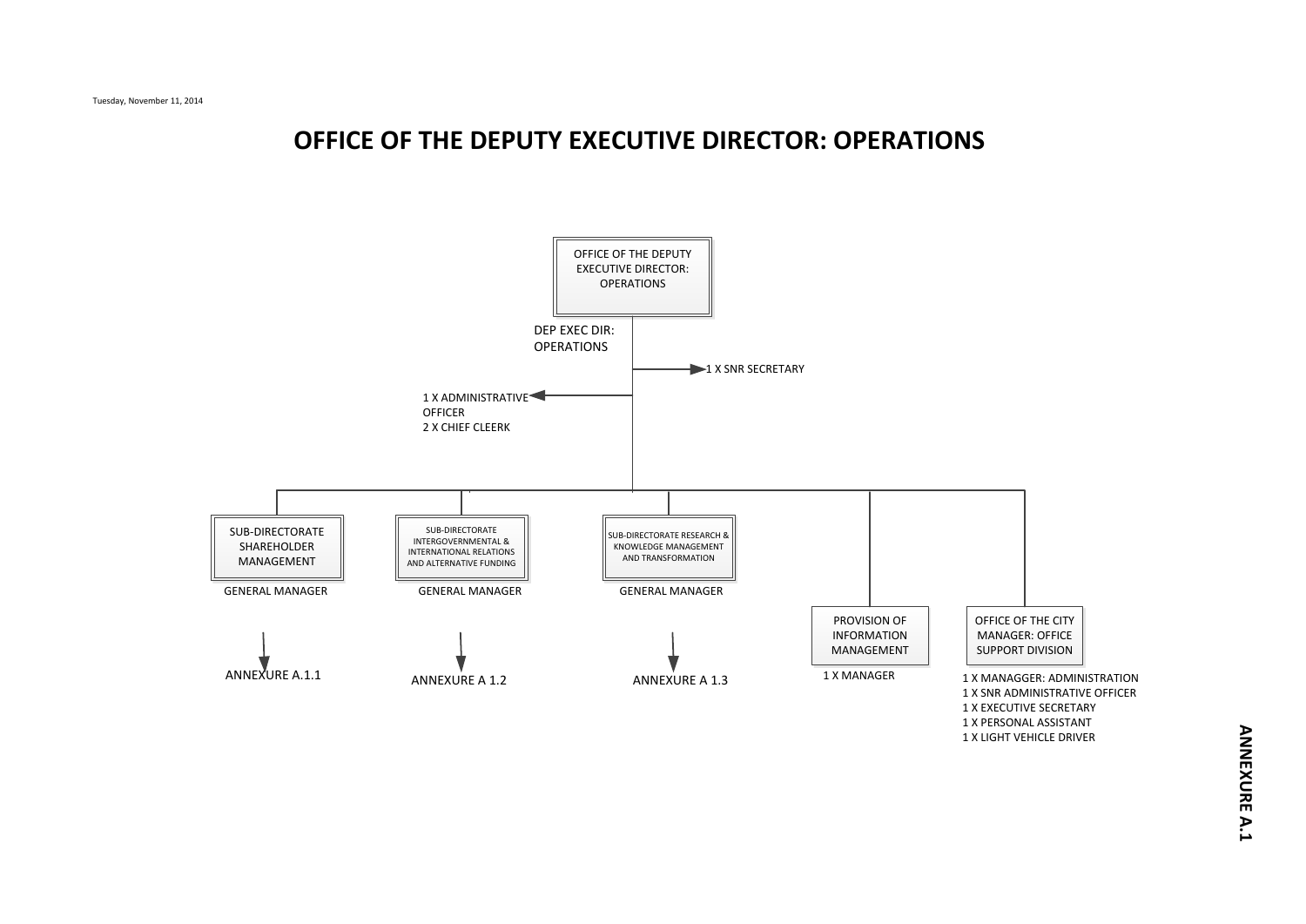# **OFFICE OF THE DEPUTY EXECUTIVE DIRECTOR: OPERATIONS**

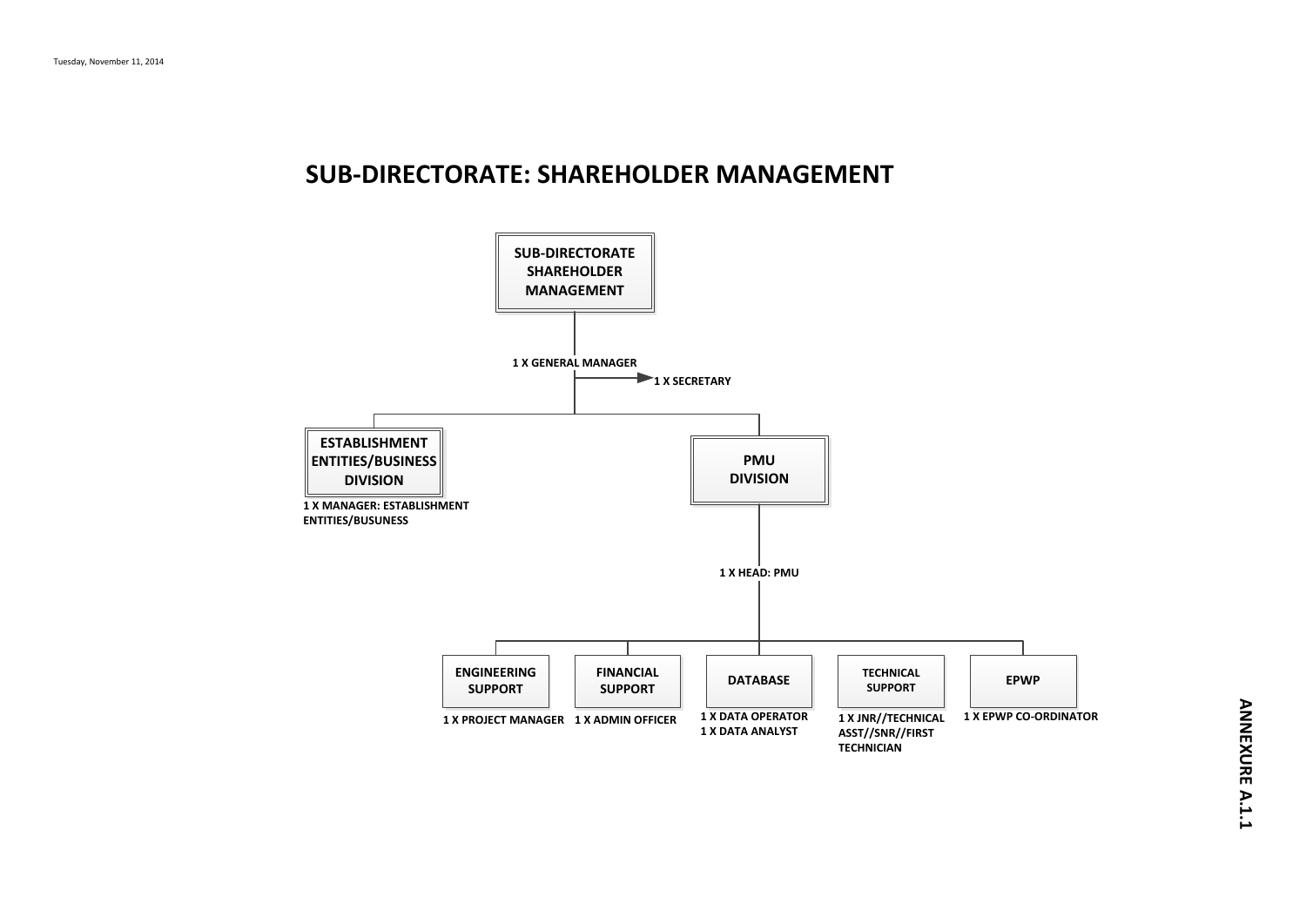#### **SUB-DIRECTORATE: SHAREHOLDER MANAGEMENT**

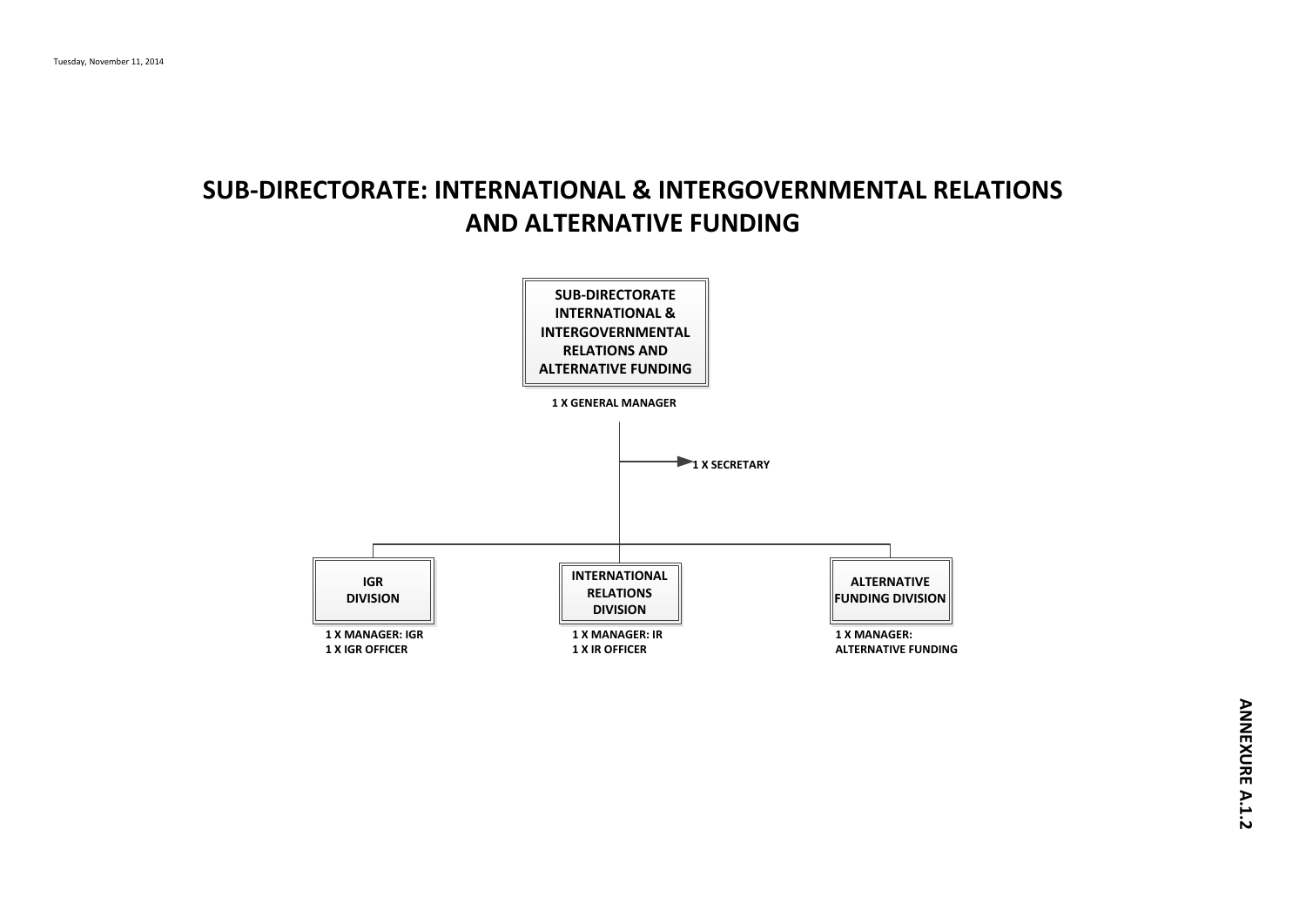# **SUB-DIRECTORATE: INTERNATIONAL & INTERGOVERNMENTAL RELATIONS AND ALTERNATIVE FUNDING**

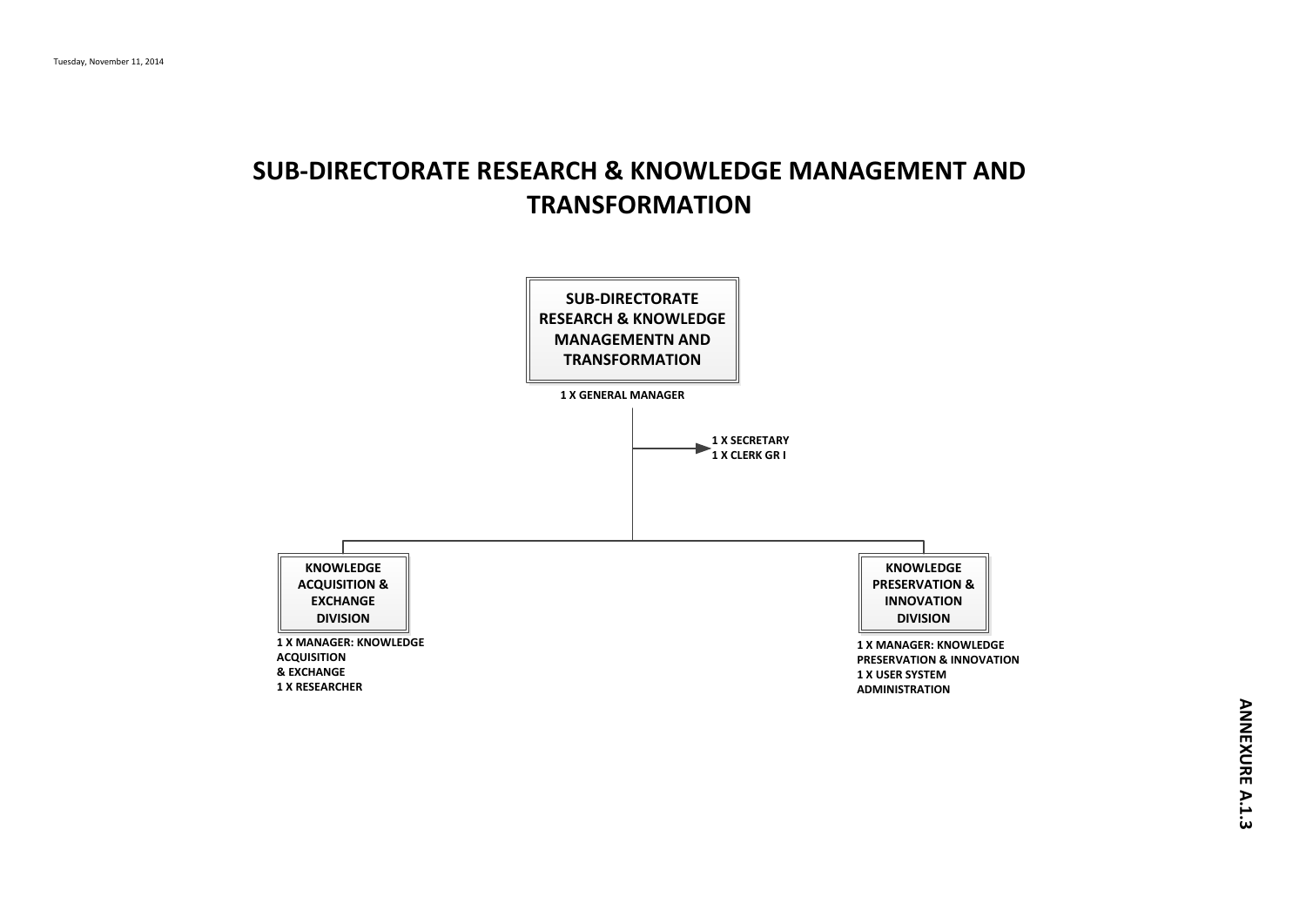# **SUB-DIRECTORATE RESEARCH & KNOWLEDGE MANAGEMENT AND TRANSFORMATION**

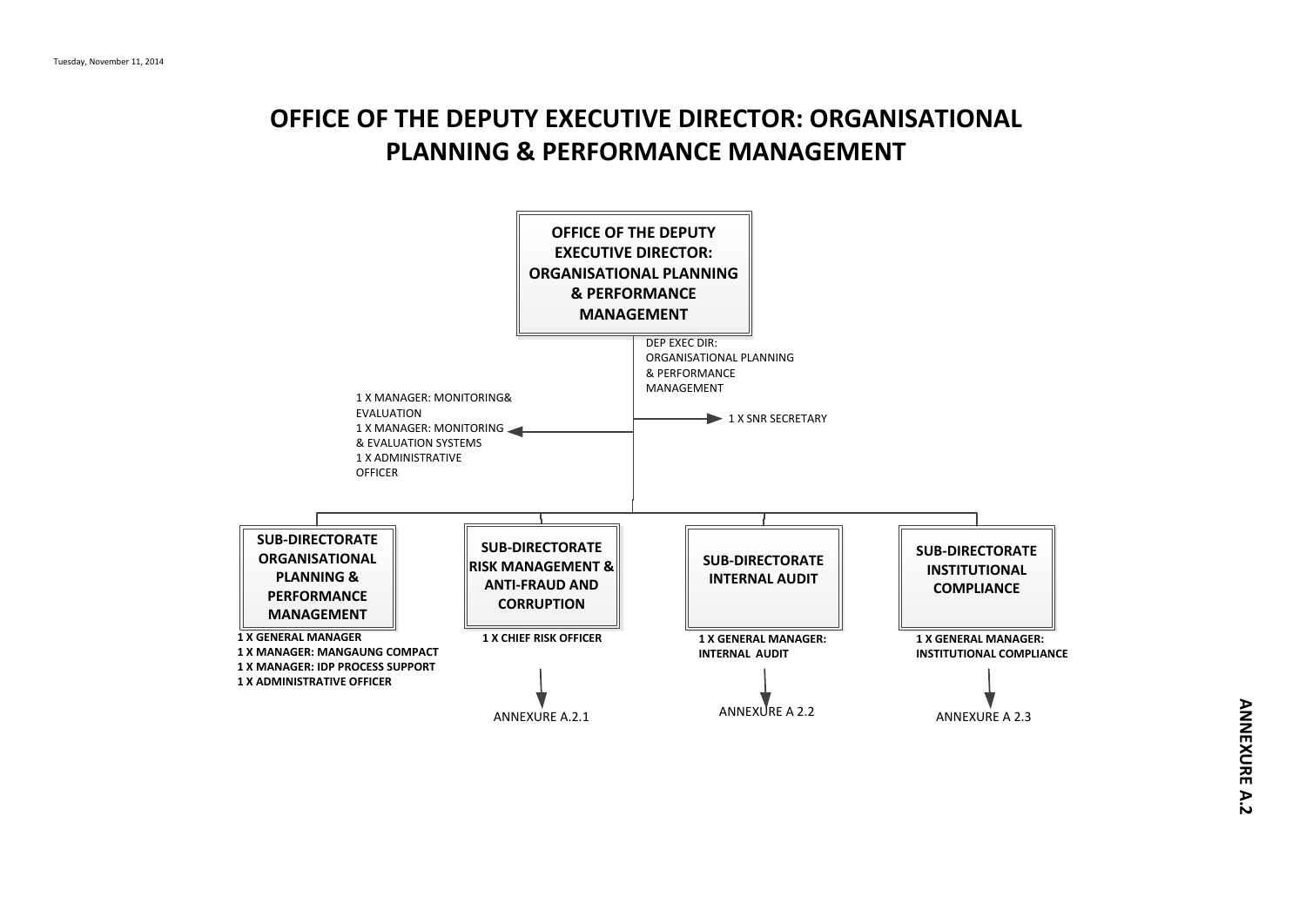# **OFFICE OF THE DEPUTY EXECUTIVE DIRECTOR: ORGANISATIONAL PLANNING & PERFORMANCE MANAGEMENT**

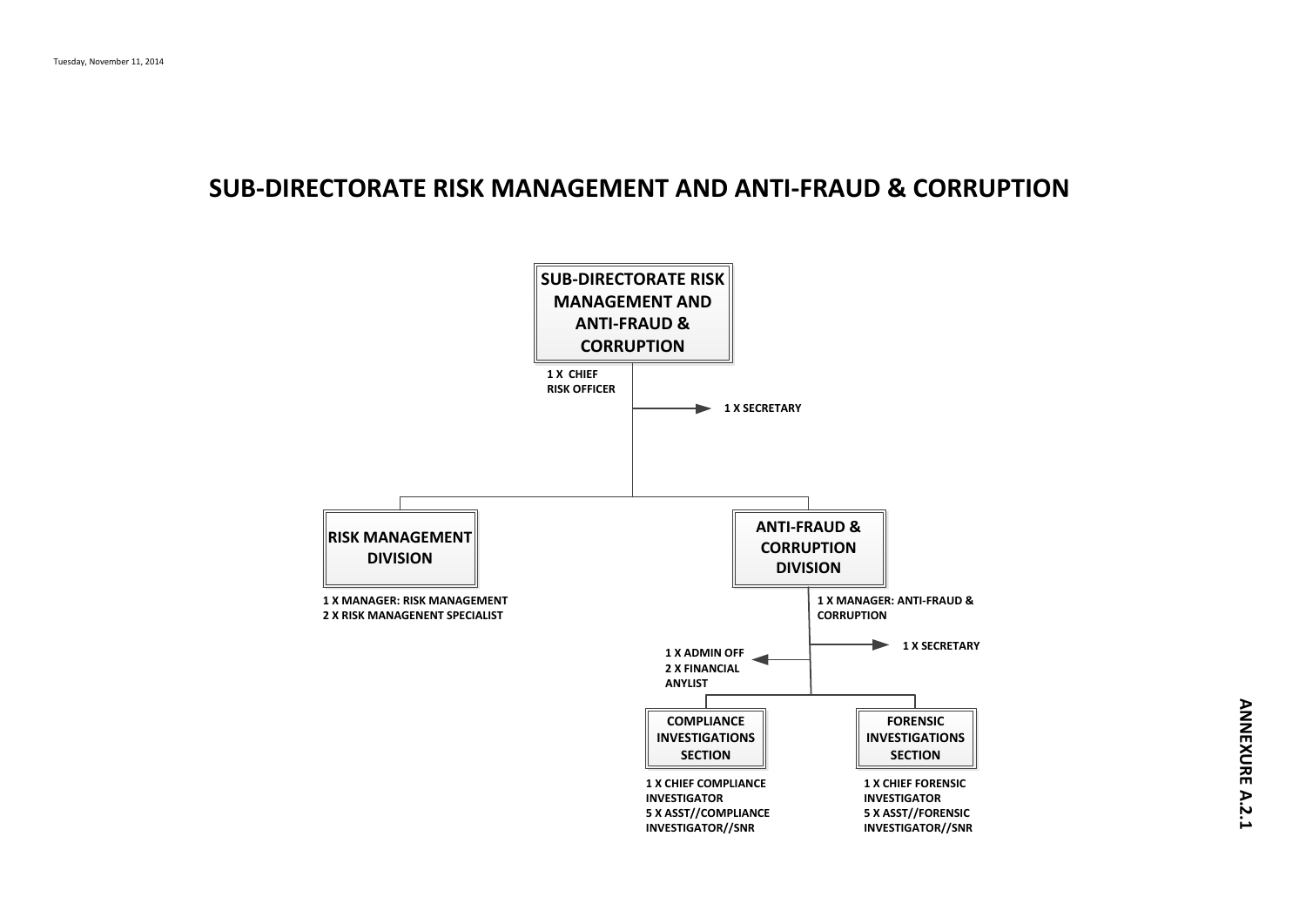#### **SUB-DIRECTORATE RISK MANAGEMENT AND ANTI-FRAUD & CORRUPTION**

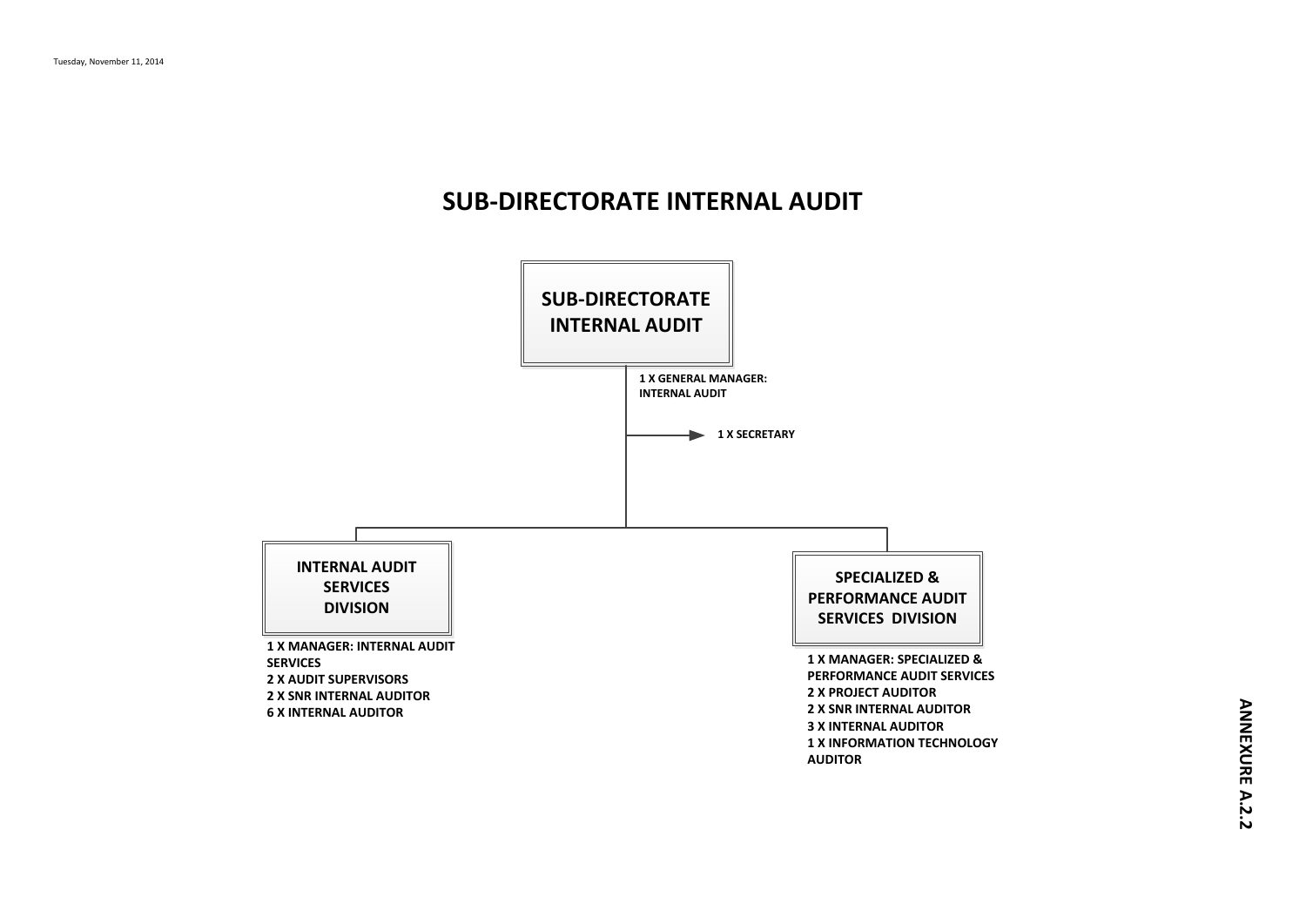# **SUB-DIRECTORATE INTERNAL AUDIT**

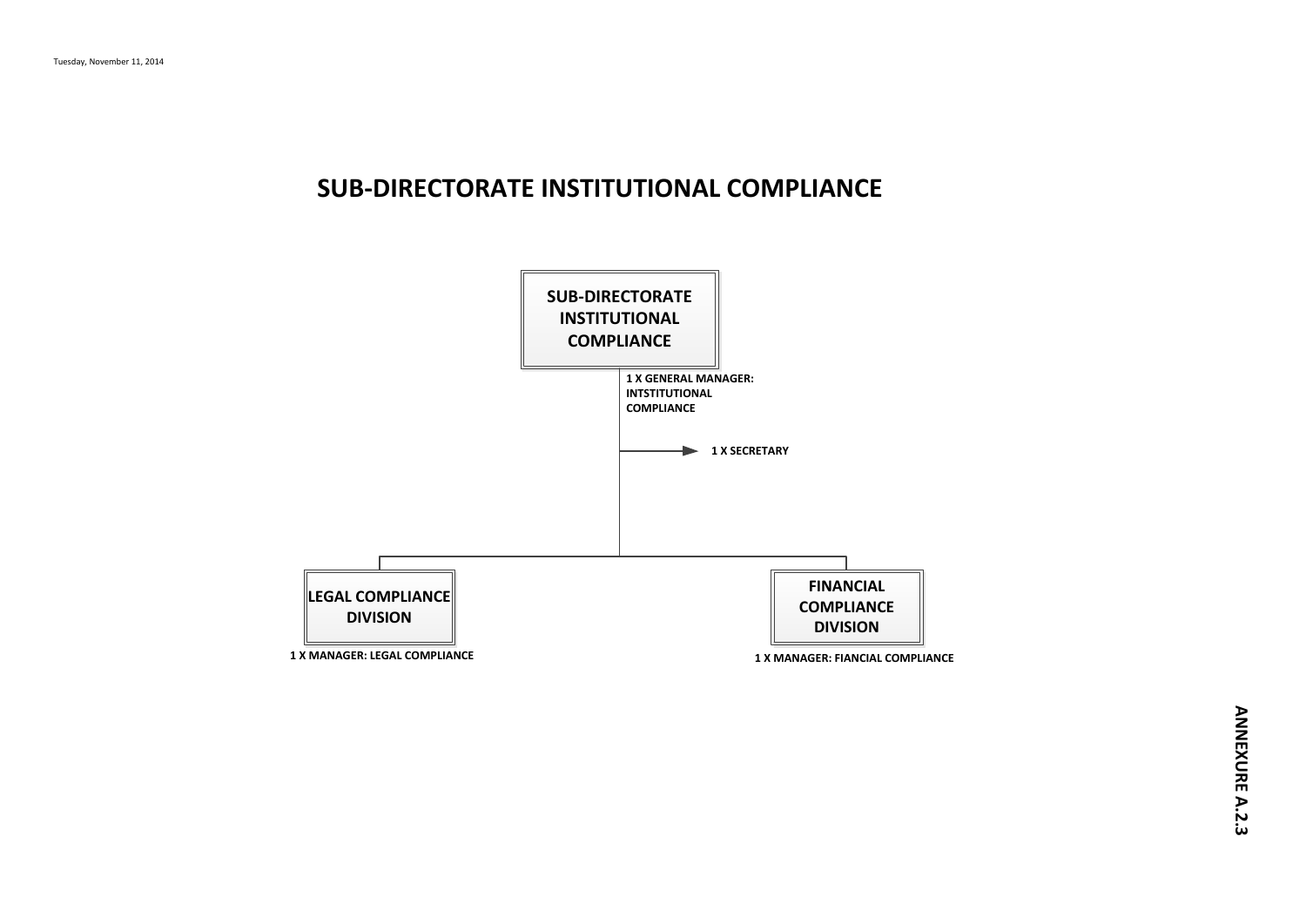### **SUB-DIRECTORATE INSTITUTIONAL COMPLIANCE**